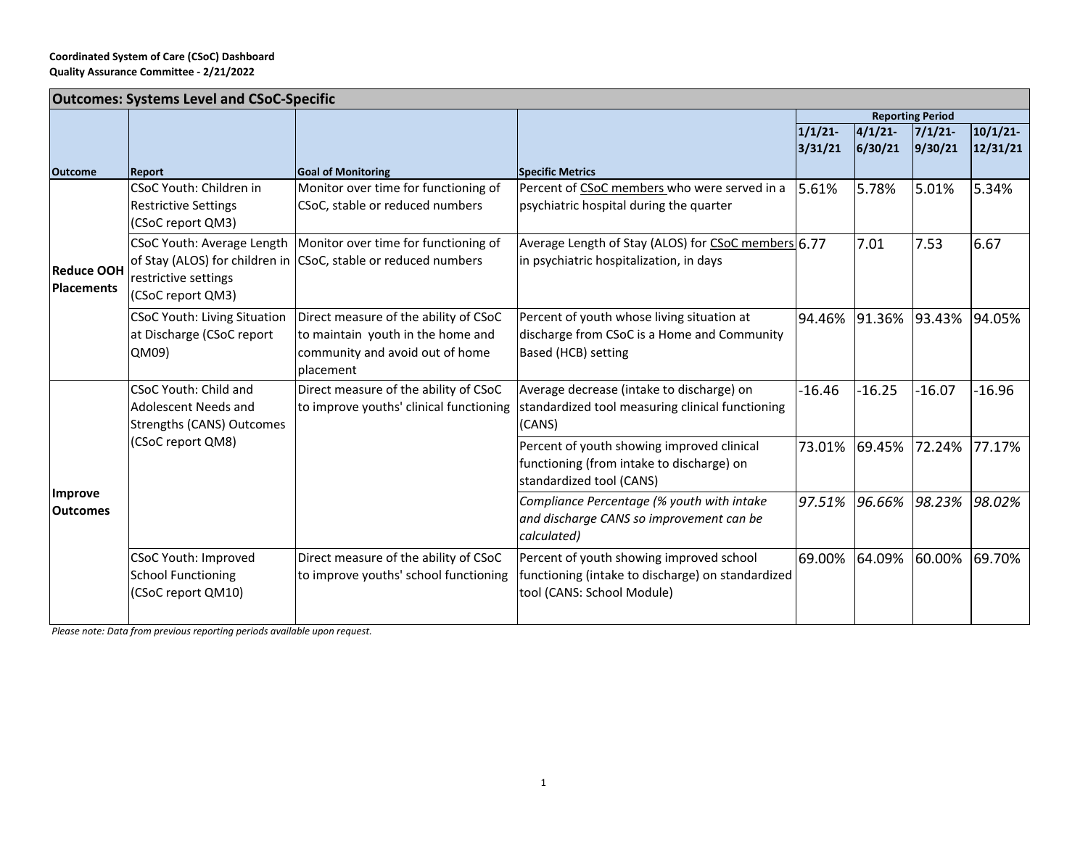## **Coordinated System of Care (CSoC) Dashboard Quality Assurance Committee ‐ 2/21/2022**

| <b>Outcomes: Systems Level and CSoC-Specific</b> |                                                  |                                                                   |                                                     |                         |          |          |          |  |  |
|--------------------------------------------------|--------------------------------------------------|-------------------------------------------------------------------|-----------------------------------------------------|-------------------------|----------|----------|----------|--|--|
|                                                  |                                                  |                                                                   |                                                     | <b>Reporting Period</b> |          |          |          |  |  |
|                                                  |                                                  |                                                                   |                                                     | 1/1/21                  | 4/1/21   | 7/1/21   | 10/1/21  |  |  |
|                                                  |                                                  |                                                                   |                                                     | 3/31/21                 | 6/30/21  | 9/30/21  | 12/31/21 |  |  |
| <b>Outcome</b>                                   | <b>Report</b>                                    | <b>Goal of Monitoring</b>                                         | <b>Specific Metrics</b>                             |                         |          |          |          |  |  |
| <b>Reduce OOH</b><br><b>Placements</b>           | CSoC Youth: Children in                          | Monitor over time for functioning of                              | Percent of CSoC members who were served in a        | 5.61%                   | 5.78%    | 5.01%    | 5.34%    |  |  |
|                                                  | <b>Restrictive Settings</b><br>(CSoC report QM3) | CSoC, stable or reduced numbers                                   | psychiatric hospital during the quarter             |                         |          |          |          |  |  |
|                                                  |                                                  | CSoC Youth: Average Length   Monitor over time for functioning of | Average Length of Stay (ALOS) for CSoC members 6.77 |                         | 7.01     | 7.53     | 6.67     |  |  |
|                                                  |                                                  | of Stay (ALOS) for children in CSoC, stable or reduced numbers    | in psychiatric hospitalization, in days             |                         |          |          |          |  |  |
|                                                  | restrictive settings                             |                                                                   |                                                     |                         |          |          |          |  |  |
|                                                  | (CSoC report QM3)                                |                                                                   |                                                     |                         |          |          |          |  |  |
|                                                  | <b>CSoC Youth: Living Situation</b>              | Direct measure of the ability of CSoC                             | Percent of youth whose living situation at          | 94.46%                  | 91.36%   | 93.43%   | 94.05%   |  |  |
|                                                  | at Discharge (CSoC report                        | to maintain youth in the home and                                 | discharge from CSoC is a Home and Community         |                         |          |          |          |  |  |
|                                                  | QM09)                                            | community and avoid out of home                                   | Based (HCB) setting                                 |                         |          |          |          |  |  |
|                                                  |                                                  | placement                                                         |                                                     |                         |          |          |          |  |  |
| <b>Improve</b><br><b>Outcomes</b>                | CSoC Youth: Child and                            | Direct measure of the ability of CSoC                             | Average decrease (intake to discharge) on           | $-16.46$                | $-16.25$ | $-16.07$ | $-16.96$ |  |  |
|                                                  | Adolescent Needs and                             | to improve youths' clinical functioning                           | standardized tool measuring clinical functioning    |                         |          |          |          |  |  |
|                                                  | <b>Strengths (CANS) Outcomes</b>                 |                                                                   | (CANS)                                              |                         |          |          |          |  |  |
|                                                  | (CSoC report QM8)                                |                                                                   | Percent of youth showing improved clinical          | 73.01%                  | 69.45%   | 72.24%   | 77.17%   |  |  |
|                                                  |                                                  |                                                                   | functioning (from intake to discharge) on           |                         |          |          |          |  |  |
|                                                  |                                                  |                                                                   | standardized tool (CANS)                            |                         |          |          |          |  |  |
|                                                  |                                                  |                                                                   | Compliance Percentage (% youth with intake          | 97.51%                  | 96.66%   | 98.23%   | 98.02%   |  |  |
|                                                  |                                                  |                                                                   | and discharge CANS so improvement can be            |                         |          |          |          |  |  |
|                                                  |                                                  |                                                                   | calculated)                                         |                         |          |          |          |  |  |
|                                                  | <b>CSoC Youth: Improved</b>                      | Direct measure of the ability of CSoC                             | Percent of youth showing improved school            | 69.00%                  | 64.09%   | 60.00%   | 69.70%   |  |  |
|                                                  | <b>School Functioning</b>                        | to improve youths' school functioning                             | functioning (intake to discharge) on standardized   |                         |          |          |          |  |  |
|                                                  | (CSoC report QM10)                               |                                                                   | tool (CANS: School Module)                          |                         |          |          |          |  |  |
|                                                  |                                                  |                                                                   |                                                     |                         |          |          |          |  |  |

*Please note: Data from previous reporting periods available upon request.*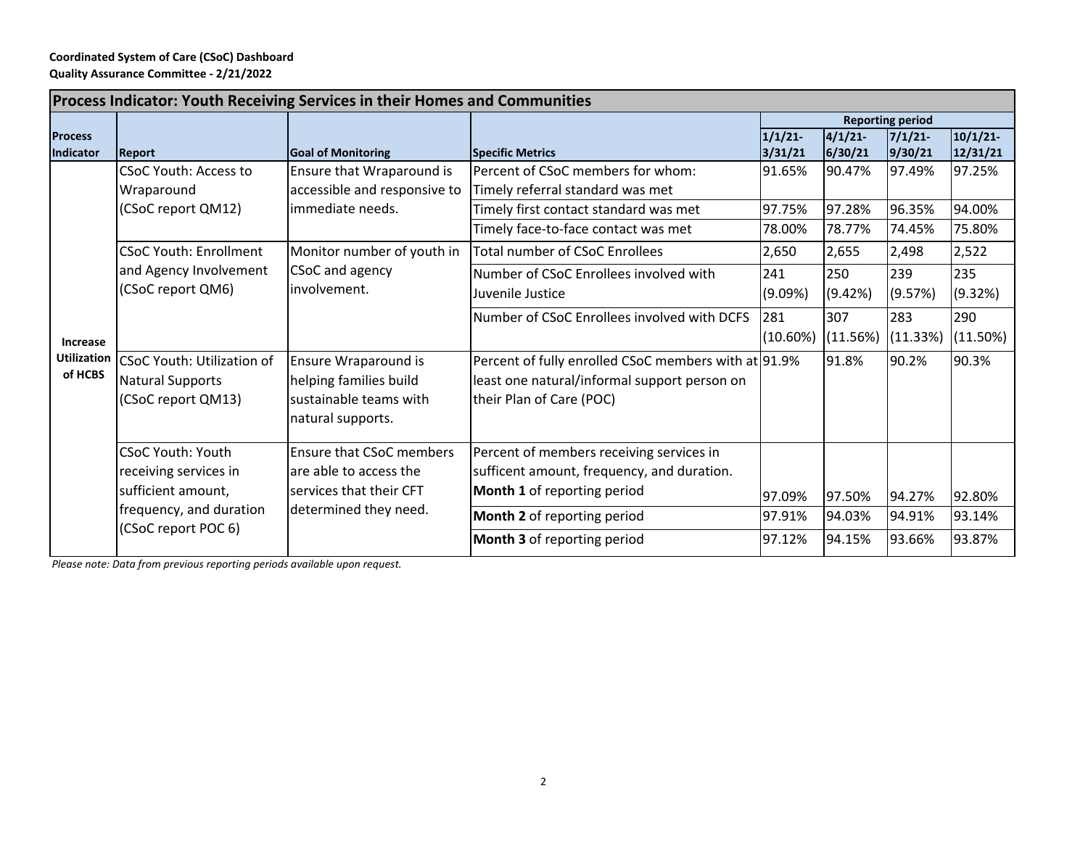## **Coordinated System of Care (CSoC) Dashboard Quality Assurance Committee ‐ 2/21/2022**

| <b>Process Indicator: Youth Receiving Services in their Homes and Communities</b> |                                                                                                    |                                                                                               |                                                                                                                                  |                         |                   |                   |                     |  |  |
|-----------------------------------------------------------------------------------|----------------------------------------------------------------------------------------------------|-----------------------------------------------------------------------------------------------|----------------------------------------------------------------------------------------------------------------------------------|-------------------------|-------------------|-------------------|---------------------|--|--|
|                                                                                   |                                                                                                    |                                                                                               |                                                                                                                                  | <b>Reporting period</b> |                   |                   |                     |  |  |
| <b>Process</b><br>Indicator                                                       | <b>Report</b>                                                                                      | <b>Goal of Monitoring</b>                                                                     | <b>Specific Metrics</b>                                                                                                          | 1/1/21<br>3/31/21       | 4/1/21<br>6/30/21 | 7/1/21<br>9/30/21 | 10/1/21<br>12/31/21 |  |  |
| <b>Increase</b><br><b>Utilization</b><br>of HCBS                                  | <b>CSoC Youth: Access to</b><br>Wraparound<br>(CSoC report QM12)                                   | Ensure that Wraparound is<br>accessible and responsive to<br>limmediate needs.                | Percent of CSoC members for whom:<br>Timely referral standard was met                                                            | 91.65%                  | 90.47%            | 97.49%            | 97.25%              |  |  |
|                                                                                   |                                                                                                    |                                                                                               | Timely first contact standard was met                                                                                            | 97.75%                  | 97.28%            | 96.35%            | 94.00%              |  |  |
|                                                                                   |                                                                                                    |                                                                                               | Timely face-to-face contact was met                                                                                              | 78.00%                  | 78.77%            | 74.45%            | 75.80%              |  |  |
|                                                                                   | <b>CSoC Youth: Enrollment</b>                                                                      | Monitor number of youth in                                                                    | <b>Total number of CSoC Enrollees</b>                                                                                            | 2,650                   | 2,655             | 2,498             | 2,522               |  |  |
|                                                                                   | and Agency Involvement<br>(CSoC report QM6)                                                        | CSoC and agency<br>involvement.                                                               | Number of CSoC Enrollees involved with<br>Juvenile Justice                                                                       | 241<br>(9.09%)          | 250<br>(9.42%)    | 239<br>(9.57%)    | 235<br>(9.32%)      |  |  |
|                                                                                   |                                                                                                    |                                                                                               | Number of CSoC Enrollees involved with DCFS                                                                                      | 281<br>$(10.60\%)$      | 307<br>(11.56%)   | 283<br>(11.33%)   | 290<br>(11.50%)     |  |  |
|                                                                                   | CSoC Youth: Utilization of<br><b>Natural Supports</b><br>(CSoC report QM13)                        | Ensure Wraparound is<br>helping families build<br>sustainable teams with<br>natural supports. | Percent of fully enrolled CSoC members with at 91.9%<br>least one natural/informal support person on<br>their Plan of Care (POC) |                         | 91.8%             | 90.2%             | 90.3%               |  |  |
|                                                                                   | <b>CSoC Youth: Youth</b><br>receiving services in<br>sufficient amount,<br>frequency, and duration | <b>Ensure that CSoC members</b><br>are able to access the<br>services that their CFT          | Percent of members receiving services in<br>sufficent amount, frequency, and duration.<br>Month 1 of reporting period            | 97.09%                  | 97.50%            | 94.27%            | 92.80%              |  |  |
|                                                                                   |                                                                                                    | determined they need.                                                                         | Month 2 of reporting period                                                                                                      | 97.91%                  | 94.03%            | 94.91%            | 93.14%              |  |  |
|                                                                                   | (CSoC report POC 6)                                                                                |                                                                                               | Month 3 of reporting period                                                                                                      | 97.12%                  | 94.15%            | 93.66%            | 93.87%              |  |  |

*Please note: Data from previous reporting periods available upon request.*